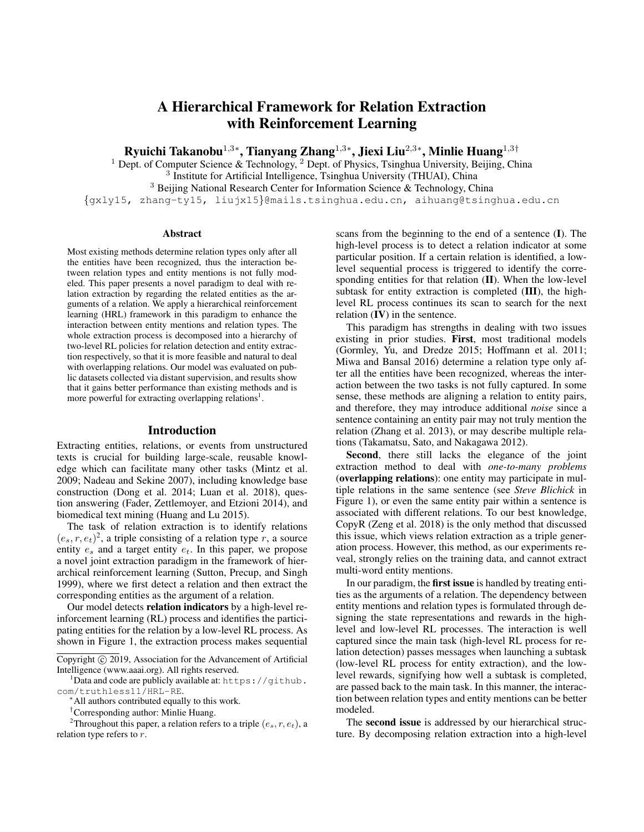# A Hierarchical Framework for Relation Extraction with Reinforcement Learning

Ryuichi Takanobu $^{1,3*}$ , Tianyang Zhang $^{1,3*}$ , Jiexi Liu $^{2,3*}$ , Minlie Huang $^{1,3\dagger}$ 

<sup>1</sup> Dept. of Computer Science & Technology, <sup>2</sup> Dept. of Physics, Tsinghua University, Beijing, China

<sup>3</sup> Institute for Artificial Intelligence, Tsinghua University (THUAI), China

<sup>3</sup> Beijing National Research Center for Information Science & Technology, China

{gxly15, zhang-ty15, liujx15}@mails.tsinghua.edu.cn, aihuang@tsinghua.edu.cn

#### **Abstract**

Most existing methods determine relation types only after all the entities have been recognized, thus the interaction between relation types and entity mentions is not fully modeled. This paper presents a novel paradigm to deal with relation extraction by regarding the related entities as the arguments of a relation. We apply a hierarchical reinforcement learning (HRL) framework in this paradigm to enhance the interaction between entity mentions and relation types. The whole extraction process is decomposed into a hierarchy of two-level RL policies for relation detection and entity extraction respectively, so that it is more feasible and natural to deal with overlapping relations. Our model was evaluated on public datasets collected via distant supervision, and results show that it gains better performance than existing methods and is more powerful for extracting overlapping relations<sup>1</sup>.

## Introduction

Extracting entities, relations, or events from unstructured texts is crucial for building large-scale, reusable knowledge which can facilitate many other tasks (Mintz et al. 2009; Nadeau and Sekine 2007), including knowledge base construction (Dong et al. 2014; Luan et al. 2018), question answering (Fader, Zettlemoyer, and Etzioni 2014), and biomedical text mining (Huang and Lu 2015).

The task of relation extraction is to identify relations  $(e_s, r, e_t)^2$ , a triple consisting of a relation type r, a source entity  $e_s$  and a target entity  $e_t$ . In this paper, we propose a novel joint extraction paradigm in the framework of hierarchical reinforcement learning (Sutton, Precup, and Singh 1999), where we first detect a relation and then extract the corresponding entities as the argument of a relation.

Our model detects relation indicators by a high-level reinforcement learning (RL) process and identifies the participating entities for the relation by a low-level RL process. As shown in Figure 1, the extraction process makes sequential

 $1$ Data and code are publicly available at: https://github. com/truthless11/HRL-RE.

<sup>2</sup>Throughout this paper, a relation refers to a triple  $(e_s, r, e_t)$ , a relation type refers to r.

scans from the beginning to the end of a sentence (I). The high-level process is to detect a relation indicator at some particular position. If a certain relation is identified, a lowlevel sequential process is triggered to identify the corresponding entities for that relation  $(II)$ . When the low-level subtask for entity extraction is completed (III), the highlevel RL process continues its scan to search for the next relation  **in the sentence.** 

This paradigm has strengths in dealing with two issues existing in prior studies. First, most traditional models (Gormley, Yu, and Dredze 2015; Hoffmann et al. 2011; Miwa and Bansal 2016) determine a relation type only after all the entities have been recognized, whereas the interaction between the two tasks is not fully captured. In some sense, these methods are aligning a relation to entity pairs, and therefore, they may introduce additional *noise* since a sentence containing an entity pair may not truly mention the relation (Zhang et al. 2013), or may describe multiple relations (Takamatsu, Sato, and Nakagawa 2012).

Second, there still lacks the elegance of the joint extraction method to deal with *one-to-many problems* (overlapping relations): one entity may participate in multiple relations in the same sentence (see *Steve Blichick* in Figure 1), or even the same entity pair within a sentence is associated with different relations. To our best knowledge, CopyR (Zeng et al. 2018) is the only method that discussed this issue, which views relation extraction as a triple generation process. However, this method, as our experiments reveal, strongly relies on the training data, and cannot extract multi-word entity mentions.

In our paradigm, the first issue is handled by treating entities as the arguments of a relation. The dependency between entity mentions and relation types is formulated through designing the state representations and rewards in the highlevel and low-level RL processes. The interaction is well captured since the main task (high-level RL process for relation detection) passes messages when launching a subtask (low-level RL process for entity extraction), and the lowlevel rewards, signifying how well a subtask is completed, are passed back to the main task. In this manner, the interaction between relation types and entity mentions can be better modeled.

The second issue is addressed by our hierarchical structure. By decomposing relation extraction into a high-level

Copyright © 2019, Association for the Advancement of Artificial Intelligence (www.aaai.org). All rights reserved.

<sup>∗</sup>All authors contributed equally to this work.

<sup>†</sup>Corresponding author: Minlie Huang.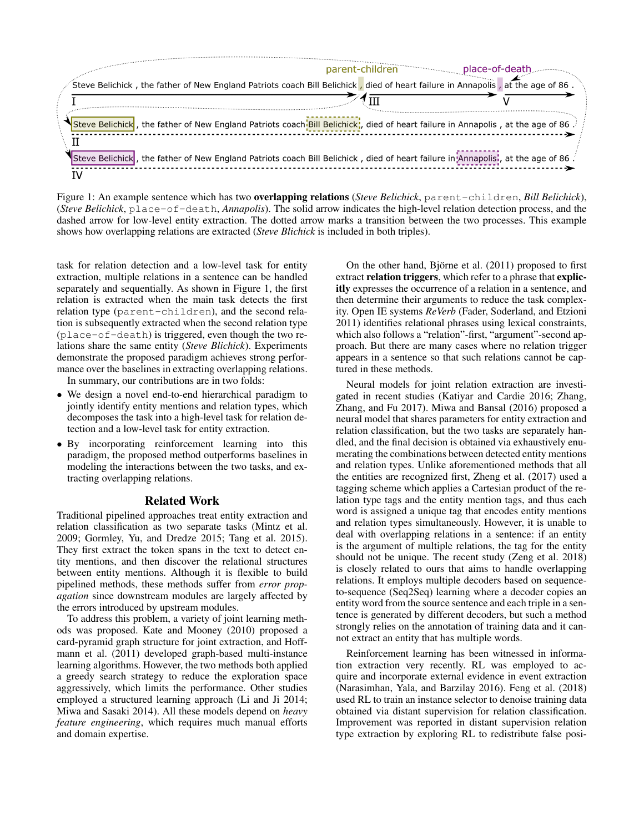

Figure 1: An example sentence which has two overlapping relations (*Steve Belichick*, parent-children, *Bill Belichick*), (*Steve Belichick*, place-of-death, *Annapolis*). The solid arrow indicates the high-level relation detection process, and the dashed arrow for low-level entity extraction. The dotted arrow marks a transition between the two processes. This example shows how overlapping relations are extracted (*Steve Blichick* is included in both triples).

task for relation detection and a low-level task for entity extraction, multiple relations in a sentence can be handled separately and sequentially. As shown in Figure 1, the first relation is extracted when the main task detects the first relation type (parent-children), and the second relation is subsequently extracted when the second relation type (place-of-death) is triggered, even though the two relations share the same entity (*Steve Blichick*). Experiments demonstrate the proposed paradigm achieves strong performance over the baselines in extracting overlapping relations.

In summary, our contributions are in two folds:

- We design a novel end-to-end hierarchical paradigm to jointly identify entity mentions and relation types, which decomposes the task into a high-level task for relation detection and a low-level task for entity extraction.
- By incorporating reinforcement learning into this paradigm, the proposed method outperforms baselines in modeling the interactions between the two tasks, and extracting overlapping relations.

#### Related Work

Traditional pipelined approaches treat entity extraction and relation classification as two separate tasks (Mintz et al. 2009; Gormley, Yu, and Dredze 2015; Tang et al. 2015). They first extract the token spans in the text to detect entity mentions, and then discover the relational structures between entity mentions. Although it is flexible to build pipelined methods, these methods suffer from *error propagation* since downstream modules are largely affected by the errors introduced by upstream modules.

To address this problem, a variety of joint learning methods was proposed. Kate and Mooney (2010) proposed a card-pyramid graph structure for joint extraction, and Hoffmann et al. (2011) developed graph-based multi-instance learning algorithms. However, the two methods both applied a greedy search strategy to reduce the exploration space aggressively, which limits the performance. Other studies employed a structured learning approach (Li and Ji 2014; Miwa and Sasaki 2014). All these models depend on *heavy feature engineering*, which requires much manual efforts and domain expertise.

On the other hand, Björne et al.  $(2011)$  proposed to first extract relation triggers, which refer to a phrase that explicitly expresses the occurrence of a relation in a sentence, and then determine their arguments to reduce the task complexity. Open IE systems *ReVerb* (Fader, Soderland, and Etzioni 2011) identifies relational phrases using lexical constraints, which also follows a "relation"-first, "argument"-second approach. But there are many cases where no relation trigger appears in a sentence so that such relations cannot be captured in these methods.

Neural models for joint relation extraction are investigated in recent studies (Katiyar and Cardie 2016; Zhang, Zhang, and Fu 2017). Miwa and Bansal (2016) proposed a neural model that shares parameters for entity extraction and relation classification, but the two tasks are separately handled, and the final decision is obtained via exhaustively enumerating the combinations between detected entity mentions and relation types. Unlike aforementioned methods that all the entities are recognized first, Zheng et al. (2017) used a tagging scheme which applies a Cartesian product of the relation type tags and the entity mention tags, and thus each word is assigned a unique tag that encodes entity mentions and relation types simultaneously. However, it is unable to deal with overlapping relations in a sentence: if an entity is the argument of multiple relations, the tag for the entity should not be unique. The recent study (Zeng et al. 2018) is closely related to ours that aims to handle overlapping relations. It employs multiple decoders based on sequenceto-sequence (Seq2Seq) learning where a decoder copies an entity word from the source sentence and each triple in a sentence is generated by different decoders, but such a method strongly relies on the annotation of training data and it cannot extract an entity that has multiple words.

Reinforcement learning has been witnessed in information extraction very recently. RL was employed to acquire and incorporate external evidence in event extraction (Narasimhan, Yala, and Barzilay 2016). Feng et al. (2018) used RL to train an instance selector to denoise training data obtained via distant supervision for relation classification. Improvement was reported in distant supervision relation type extraction by exploring RL to redistribute false posi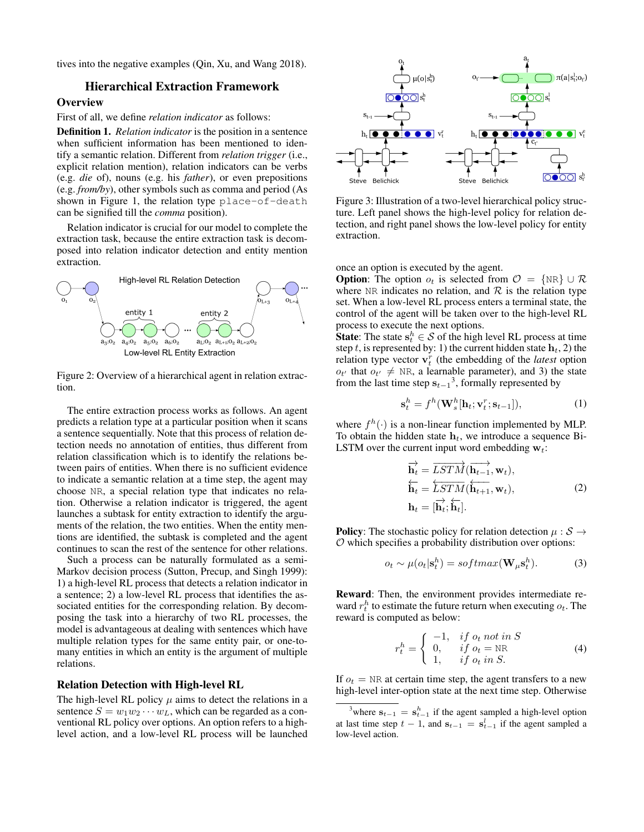tives into the negative examples (Qin, Xu, and Wang 2018).

# Hierarchical Extraction Framework

**Overview** 

First of all, we define *relation indicator* as follows:

Definition 1. *Relation indicator* is the position in a sentence when sufficient information has been mentioned to identify a semantic relation. Different from *relation trigger* (i.e., explicit relation mention), relation indicators can be verbs (e.g. *die* of), nouns (e.g. his *father*), or even prepositions (e.g. *from/by*), other symbols such as comma and period (As shown in Figure 1, the relation type place-of-death can be signified till the *comma* position).

Relation indicator is crucial for our model to complete the extraction task, because the entire extraction task is decomposed into relation indicator detection and entity mention extraction.



Figure 2: Overview of a hierarchical agent in relation extraction.

The entire extraction process works as follows. An agent predicts a relation type at a particular position when it scans a sentence sequentially. Note that this process of relation detection needs no annotation of entities, thus different from relation classification which is to identify the relations between pairs of entities. When there is no sufficient evidence to indicate a semantic relation at a time step, the agent may choose NR, a special relation type that indicates no relation. Otherwise a relation indicator is triggered, the agent launches a subtask for entity extraction to identify the arguments of the relation, the two entities. When the entity mentions are identified, the subtask is completed and the agent continues to scan the rest of the sentence for other relations.

Such a process can be naturally formulated as a semi-Markov decision process (Sutton, Precup, and Singh 1999): 1) a high-level RL process that detects a relation indicator in a sentence; 2) a low-level RL process that identifies the associated entities for the corresponding relation. By decomposing the task into a hierarchy of two RL processes, the model is advantageous at dealing with sentences which have multiple relation types for the same entity pair, or one-tomany entities in which an entity is the argument of multiple relations.

#### Relation Detection with High-level RL

The high-level RL policy  $\mu$  aims to detect the relations in a sentence  $S = w_1 w_2 \cdots w_L$ , which can be regarded as a conventional RL policy over options. An option refers to a highlevel action, and a low-level RL process will be launched



Figure 3: Illustration of a two-level hierarchical policy structure. Left panel shows the high-level policy for relation detection, and right panel shows the low-level policy for entity extraction.

once an option is executed by the agent.

**Option:** The option  $o_t$  is selected from  $\mathcal{O} = \{NR\} \cup \mathcal{R}$ where NR indicates no relation, and  $R$  is the relation type set. When a low-level RL process enters a terminal state, the control of the agent will be taken over to the high-level RL process to execute the next options.

**State**: The state  $\mathbf{s}_t^h \in \mathcal{S}$  of the high level RL process at time step t, is represented by: 1) the current hidden state  $h_t$ , 2) the relation type vector  $\mathbf{v}_t^r$  (the embedding of the *latest* option  $o_{t'}$  that  $o_{t'} \neq \text{NR}$ , a learnable parameter), and 3) the state from the last time step  $s_{t-1}^3$ , formally represented by

$$
\mathbf{s}_t^h = f^h(\mathbf{W}_s^h[\mathbf{h}_t; \mathbf{v}_t^r; \mathbf{s}_{t-1}]),\tag{1}
$$

where  $f^h(\cdot)$  is a non-linear function implemented by MLP. To obtain the hidden state  $h_t$ , we introduce a sequence Bi-LSTM over the current input word embedding  $w_t$ :

$$
\overrightarrow{\mathbf{h}_{t}} = \overrightarrow{LSTM}(\overrightarrow{\mathbf{h}_{t-1}}, \mathbf{w}_{t}),
$$
\n
$$
\overleftarrow{\mathbf{h}_{t}} = \overleftarrow{LSTM}(\overleftarrow{\mathbf{h}_{t+1}}, \mathbf{w}_{t}),
$$
\n
$$
\mathbf{h}_{t} = [\overrightarrow{\mathbf{h}_{t}}; \overleftarrow{\mathbf{h}_{t}}].
$$
\n(2)

**Policy:** The stochastic policy for relation detection  $\mu : \mathcal{S} \rightarrow$  $O$  which specifies a probability distribution over options:

$$
o_t \sim \mu(o_t | \mathbf{s}_t^h) = softmax(\mathbf{W}_{\mu} \mathbf{s}_t^h).
$$
 (3)

Reward: Then, the environment provides intermediate reward  $r_t^h$  to estimate the future return when executing  $o_t$ . The reward is computed as below:

$$
r_t^h = \begin{cases} -1, & if \ o_t \text{ not in } S \\ 0, & if \ o_t = \text{NR} \\ 1, & if \ o_t \text{ in } S. \end{cases} \tag{4}
$$

If  $o_t$  = NR at certain time step, the agent transfers to a new high-level inter-option state at the next time step. Otherwise

<sup>&</sup>lt;sup>3</sup>where  $s_{t-1} = s_{t-1}^h$  if the agent sampled a high-level option at last time step  $t - 1$ , and  $\mathbf{s}_{t-1} = \mathbf{s}_{t-1}^l$  if the agent sampled a low-level action.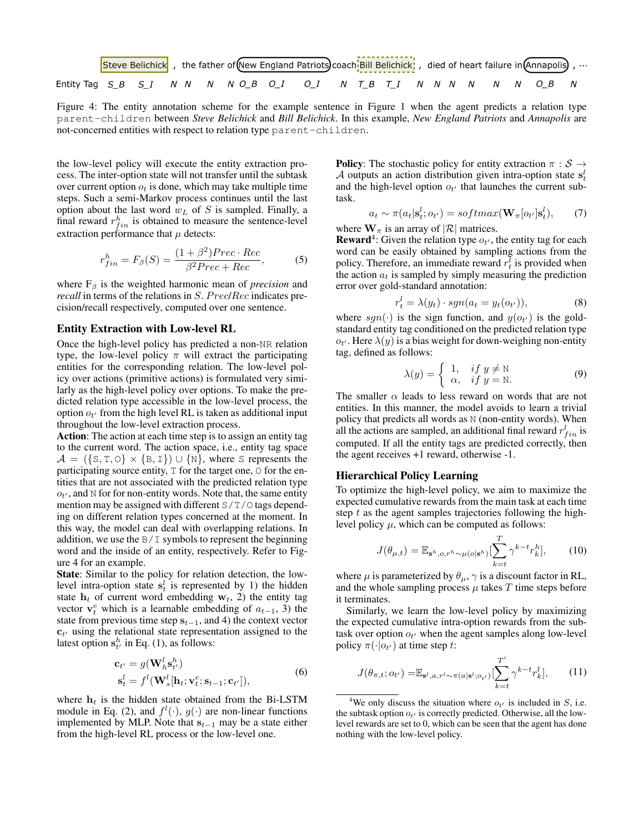

Figure 4: The entity annotation scheme for the example sentence in Figure 1 when the agent predicts a relation type parent-children between *Steve Belichick* and *Bill Belichick*. In this example, *New England Patriots* and *Annapolis* are not-concerned entities with respect to relation type parent-children.

the low-level policy will execute the entity extraction process. The inter-option state will not transfer until the subtask over current option  $o_t$  is done, which may take multiple time steps. Such a semi-Markov process continues until the last option about the last word  $w_L$  of S is sampled. Finally, a final reward  $r_{fin}^h$  is obtained to measure the sentence-level extraction performance that  $\mu$  detects:

$$
r_{fin}^h = F_\beta(S) = \frac{(1+\beta^2)Prec \cdot Rec}{\beta^2Prec + Rec},\tag{5}
$$

where  $F_\beta$  is the weighted harmonic mean of *precision* and *recall* in terms of the relations in S. Prec/Rec indicates precision/recall respectively, computed over one sentence.

## Entity Extraction with Low-level RL

Once the high-level policy has predicted a non-NR relation type, the low-level policy  $\pi$  will extract the participating entities for the corresponding relation. The low-level policy over actions (primitive actions) is formulated very similarly as the high-level policy over options. To make the predicted relation type accessible in the low-level process, the option  $o_{t'}$  from the high level RL is taken as additional input throughout the low-level extraction process.

Action: The action at each time step is to assign an entity tag to the current word. The action space, i.e., entity tag space  $A = (\{S, T, O\} \times \{B, I\}) \cup \{N\}$ , where S represents the participating source entity,  $T$  for the target one,  $O$  for the entities that are not associated with the predicted relation type  $o_{t'}$ , and N for for non-entity words. Note that, the same entity mention may be assigned with different  $S/T/O$  tags depending on different relation types concerned at the moment. In this way, the model can deal with overlapping relations. In addition, we use the  $B/I$  symbols to represent the beginning word and the inside of an entity, respectively. Refer to Figure 4 for an example.

State: Similar to the policy for relation detection, the lowlevel intra-option state  $s_t^l$  is represented by 1) the hidden state  $h_t$  of current word embedding  $w_t$ , 2) the entity tag vector  $\mathbf{v}_t^e$  which is a learnable embedding of  $a_{t-1}$ , 3) the state from previous time step  $s_{t-1}$ , and 4) the context vector  $c_{t'}$  using the relational state representation assigned to the latest option  $\mathbf{s}_{t'}^h$  in Eq. (1), as follows:

$$
\mathbf{c}_{t'} = g(\mathbf{W}_{h}^{l} \mathbf{s}_{t'}^{h}) \n\mathbf{s}_{t}^{l} = f^{l}(\mathbf{W}_{s}^{l}[\mathbf{h}_{t}; \mathbf{v}_{t}^{e}; \mathbf{s}_{t-1}; \mathbf{c}_{t'}]),
$$
\n(6)

where  $h_t$  is the hidden state obtained from the Bi-LSTM module in Eq. (2), and  $f^l(\cdot)$ ,  $g(\cdot)$  are non-linear functions implemented by MLP. Note that  $s_{t-1}$  may be a state either from the high-level RL process or the low-level one.

**Policy:** The stochastic policy for entity extraction  $\pi : \mathcal{S} \rightarrow$ A outputs an action distribution given intra-option state  $s_t^l$ and the high-level option  $o_{t'}$  that launches the current subtask.

$$
a_t \sim \pi(a_t | \mathbf{s}_t^l; o_{t'}) = softmax(\mathbf{W}_{\pi}[o_{t'} | \mathbf{s}_t^l), \qquad (7)
$$

where  $\mathbf{W}_{\pi}$  is an array of  $|\mathcal{R}|$  matrices.

**Reward**<sup>4</sup>: Given the relation type  $o_t$ , the entity tag for each word can be easily obtained by sampling actions from the policy. Therefore, an immediate reward  $r_t^{\bar{l}}$  is provided when the action  $a_t$  is sampled by simply measuring the prediction error over gold-standard annotation:

$$
r_t^l = \lambda(y_t) \cdot sgn(a_t = y_t(o_{t'})), \tag{8}
$$

where  $sgn(\cdot)$  is the sign function, and  $y(o_{t'})$  is the goldstandard entity tag conditioned on the predicted relation type  $o_{t'}$ . Here  $\lambda(y)$  is a bias weight for down-weighing non-entity tag, defined as follows:

$$
\lambda(y) = \begin{cases} 1, & \text{if } y \neq \mathbb{N} \\ \alpha, & \text{if } y = \mathbb{N}. \end{cases}
$$
 (9)

The smaller  $\alpha$  leads to less reward on words that are not entities. In this manner, the model avoids to learn a trivial policy that predicts all words as N (non-entity words). When all the actions are sampled, an additional final reward  $r_{fin}^l$  is computed. If all the entity tags are predicted correctly, then the agent receives +1 reward, otherwise -1.

## Hierarchical Policy Learning

To optimize the high-level policy, we aim to maximize the expected cumulative rewards from the main task at each time step  $t$  as the agent samples trajectories following the highlevel policy  $\mu$ , which can be computed as follows:

$$
J(\theta_{\mu,t}) = \mathbb{E}_{\mathbf{s}^h, o, r^h \sim \mu(o|\mathbf{s}^h)}[\sum_{k=t}^T \gamma^{k-t} r_k^h],\qquad(10)
$$

where  $\mu$  is parameterized by  $\theta_{\mu}$ ,  $\gamma$  is a discount factor in RL, and the whole sampling process  $\mu$  takes  $T$  time steps before it terminates.

Similarly, we learn the low-level policy by maximizing the expected cumulative intra-option rewards from the subtask over option  $o_{t'}$  when the agent samples along low-level policy  $\pi(\cdot|o_{t'})$  at time step t:

$$
J(\theta_{\pi,t}; o_{t'}) = \mathbb{E}_{\mathbf{s}^l, a, r^l \sim \pi(a|\mathbf{s}^l; o_{t'})} \left[ \sum_{k=t}^{T'} \gamma^{k-t} r_k^l \right],\tag{11}
$$

<sup>&</sup>lt;sup>4</sup>We only discuss the situation where  $o_{t'}$  is included in S, i.e. the subtask option  $o_{t'}$  is correctly predicted. Otherwise, all the lowlevel rewards are set to 0, which can be seen that the agent has done nothing with the low-level policy.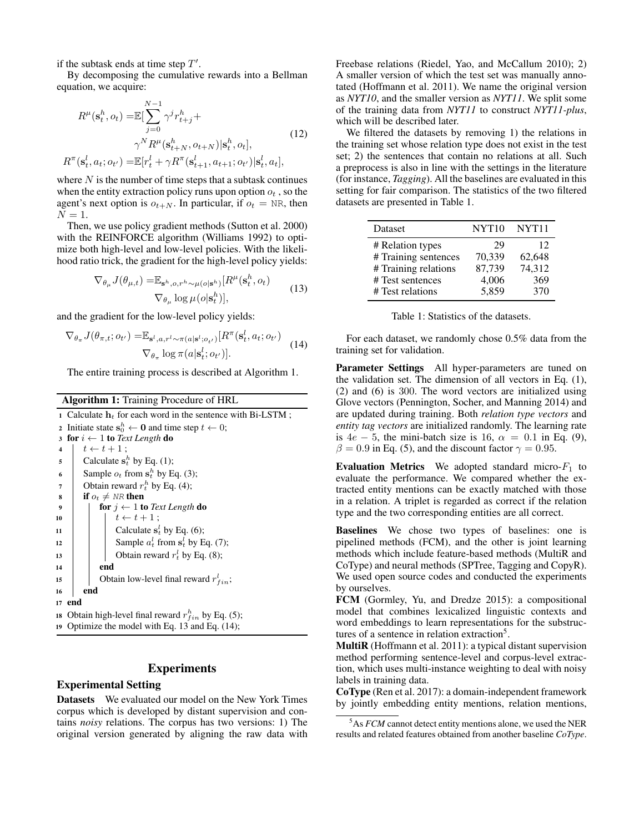if the subtask ends at time step  $T'$ .

By decomposing the cumulative rewards into a Bellman equation, we acquire:

$$
R^{\mu}(\mathbf{s}_t^h, o_t) = \mathbb{E}[\sum_{j=0}^{N-1} \gamma^j r_{t+j}^h +
$$
  
\n
$$
\gamma^N R^{\mu}(\mathbf{s}_{t+N}^h, o_{t+N}) | \mathbf{s}_t^h, o_t],
$$
  
\n
$$
R^{\pi}(\mathbf{s}_t^l, a_t; o_{t'}) = \mathbb{E}[r_t^l + \gamma R^{\pi}(\mathbf{s}_{t+1}^l, a_{t+1}; o_{t'}) | \mathbf{s}_t^l, a_t],
$$
\n(12)

where  $N$  is the number of time steps that a subtask continues when the entity extraction policy runs upon option  $o_t$ , so the agent's next option is  $o_{t+N}$ . In particular, if  $o_t = NR$ , then  $N=1$ .

Then, we use policy gradient methods (Sutton et al. 2000) with the REINFORCE algorithm (Williams 1992) to optimize both high-level and low-level policies. With the likelihood ratio trick, the gradient for the high-level policy yields:

$$
\nabla_{\theta_{\mu}} J(\theta_{\mu, t}) = \mathbb{E}_{\mathbf{s}^{h}, o, r^{h} \sim \mu(o|\mathbf{s}^{h})} [R^{\mu}(\mathbf{s}^{h}_{t}, o_{t})
$$
  
\n
$$
\nabla_{\theta_{\mu}} \log \mu(o|\mathbf{s}^{h}_{t})],
$$
\n(13)

and the gradient for the low-level policy yields:

$$
\nabla_{\theta_{\pi}} J(\theta_{\pi,t}; o_{t'}) = \mathbb{E}_{\mathbf{s}^l, a, r^l \sim \pi(a|\mathbf{s}^l; o_{t'})}[R^{\pi}(\mathbf{s}^l_t, a_t; o_{t'}) - \nabla_{\theta_{\pi}} \log \pi(a|\mathbf{s}^l_t; o_{t'})].
$$
\n(14)

The entire training process is described at Algorithm 1.

Algorithm 1: Training Procedure of HRL

1 Calculate  $h_t$  for each word in the sentence with Bi-LSTM ; 2 Initiate state  $s_0^h \leftarrow 0$  and time step  $t \leftarrow 0$ ; 3 for  $i \leftarrow 1$  to *Text Length* do  $\begin{array}{c|c} 4 & t \leftarrow t + 1 \end{array}$ ; 5 Calculate  $s_t^h$  by Eq. (1); 6 Sample  $o_t$  from  $\mathbf{s}_t^h$  by Eq. (3); 7 | Obtain reward  $r_t^h$  by Eq. (4); 8 if  $o_t \neq \textit{NR}$  then for  $j \leftarrow 1$  to *Text Length* do 10  $\vert \vert \vert t \leftarrow t + 1;$ 11 | Calculate  $s_t^l$  by Eq. (6); 12 | Sample  $a_t^l$  from  $s_t^l$  by Eq. (7); 13 | btain reward  $r_t^l$  by Eq. (8); 14 | end 15 | Obtain low-level final reward  $r_{fin}^l$ ; <sup>16</sup> end <sup>17</sup> end 18 Obtain high-level final reward  $r_{fin}^h$  by Eq. (5); <sup>19</sup> Optimize the model with Eq. 13 and Eq. (14);

## Experiments

## Experimental Setting

Datasets We evaluated our model on the New York Times corpus which is developed by distant supervision and contains *noisy* relations. The corpus has two versions: 1) The original version generated by aligning the raw data with Freebase relations (Riedel, Yao, and McCallum 2010); 2) A smaller version of which the test set was manually annotated (Hoffmann et al. 2011). We name the original version as *NYT10*, and the smaller version as *NYT11*. We split some of the training data from *NYT11* to construct *NYT11-plus*, which will be described later.

We filtered the datasets by removing 1) the relations in the training set whose relation type does not exist in the test set; 2) the sentences that contain no relations at all. Such a preprocess is also in line with the settings in the literature (for instance, *Tagging*). All the baselines are evaluated in this setting for fair comparison. The statistics of the two filtered datasets are presented in Table 1.

| Dataset              | NYT <sub>10</sub> | NYT <sub>11</sub> |
|----------------------|-------------------|-------------------|
| # Relation types     | 29                | 12                |
| # Training sentences | 70,339            | 62,648            |
| # Training relations | 87,739            | 74,312            |
| # Test sentences     | 4,006             | 369               |
| # Test relations     | 5,859             | 370               |

For each dataset, we randomly chose 0.5% data from the training set for validation.

Parameter Settings All hyper-parameters are tuned on the validation set. The dimension of all vectors in Eq. (1), (2) and (6) is 300. The word vectors are initialized using Glove vectors (Pennington, Socher, and Manning 2014) and are updated during training. Both *relation type vectors* and *entity tag vectors* are initialized randomly. The learning rate is  $4e - 5$ , the mini-batch size is 16,  $\alpha = 0.1$  in Eq. (9),  $\beta = 0.9$  in Eq. (5), and the discount factor  $\gamma = 0.95$ .

Evaluation Metrics We adopted standard micro- $F_1$  to evaluate the performance. We compared whether the extracted entity mentions can be exactly matched with those in a relation. A triplet is regarded as correct if the relation type and the two corresponding entities are all correct.

Baselines We chose two types of baselines: one is pipelined methods (FCM), and the other is joint learning methods which include feature-based methods (MultiR and CoType) and neural methods (SPTree, Tagging and CopyR). We used open source codes and conducted the experiments by ourselves.

FCM (Gormley, Yu, and Dredze 2015): a compositional model that combines lexicalized linguistic contexts and word embeddings to learn representations for the substructures of a sentence in relation extraction<sup>5</sup>.

MultiR (Hoffmann et al. 2011): a typical distant supervision method performing sentence-level and corpus-level extraction, which uses multi-instance weighting to deal with noisy labels in training data.

CoType (Ren et al. 2017): a domain-independent framework by jointly embedding entity mentions, relation mentions,

<sup>5</sup>As *FCM* cannot detect entity mentions alone, we used the NER results and related features obtained from another baseline *CoType*.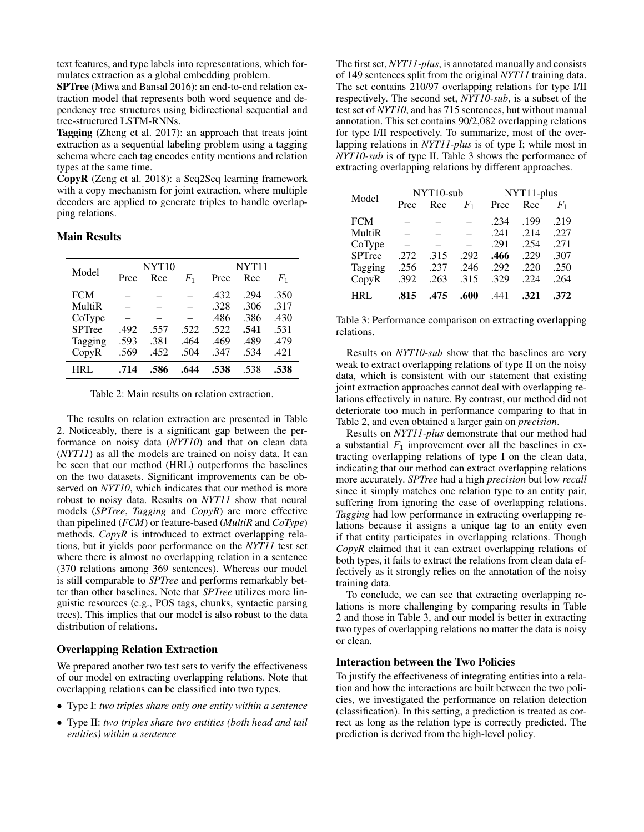text features, and type labels into representations, which formulates extraction as a global embedding problem.

SPTree (Miwa and Bansal 2016): an end-to-end relation extraction model that represents both word sequence and dependency tree structures using bidirectional sequential and tree-structured LSTM-RNNs.

Tagging (Zheng et al. 2017): an approach that treats joint extraction as a sequential labeling problem using a tagging schema where each tag encodes entity mentions and relation types at the same time.

CopyR (Zeng et al. 2018): a Seq2Seq learning framework with a copy mechanism for joint extraction, where multiple decoders are applied to generate triples to handle overlapping relations.

## Main Results

| Model         | NYT <sub>10</sub> |      |       | NYT <sub>11</sub> |      |         |  |
|---------------|-------------------|------|-------|-------------------|------|---------|--|
|               | Prec              | Rec  | $F_1$ | Prec              | Rec  | $F_{1}$ |  |
| <b>FCM</b>    |                   |      |       | .432              | .294 | .350    |  |
| MultiR        |                   |      |       | .328              | .306 | .317    |  |
| CoType        |                   |      |       | .486              | .386 | .430    |  |
| <b>SPTree</b> | .492              | .557 | .522  | .522              | .541 | .531    |  |
| Tagging       | .593              | .381 | .464  | .469              | .489 | .479    |  |
| CopyR         | .569              | .452 | .504  | .347              | .534 | .421    |  |
| HRL           | .714              | .586 | .644  | .538              | .538 | .538    |  |

Table 2: Main results on relation extraction.

The results on relation extraction are presented in Table 2. Noticeably, there is a significant gap between the performance on noisy data (*NYT10*) and that on clean data (*NYT11*) as all the models are trained on noisy data. It can be seen that our method (HRL) outperforms the baselines on the two datasets. Significant improvements can be observed on *NYT10*, which indicates that our method is more robust to noisy data. Results on *NYT11* show that neural models (*SPTree*, *Tagging* and *CopyR*) are more effective than pipelined (*FCM*) or feature-based (*MultiR* and *CoType*) methods. *CopyR* is introduced to extract overlapping relations, but it yields poor performance on the *NYT11* test set where there is almost no overlapping relation in a sentence (370 relations among 369 sentences). Whereas our model is still comparable to *SPTree* and performs remarkably better than other baselines. Note that *SPTree* utilizes more linguistic resources (e.g., POS tags, chunks, syntactic parsing trees). This implies that our model is also robust to the data distribution of relations.

## Overlapping Relation Extraction

We prepared another two test sets to verify the effectiveness of our model on extracting overlapping relations. Note that overlapping relations can be classified into two types.

- Type I: *two triples share only one entity within a sentence*
- Type II: *two triples share two entities (both head and tail entities) within a sentence*

The first set, *NYT11-plus*, is annotated manually and consists of 149 sentences split from the original *NYT11* training data. The set contains 210/97 overlapping relations for type I/II respectively. The second set, *NYT10-sub*, is a subset of the test set of *NYT10*, and has 715 sentences, but without manual annotation. This set contains 90/2,082 overlapping relations for type I/II respectively. To summarize, most of the overlapping relations in *NYT11-plus* is of type I; while most in *NYT10-sub* is of type II. Table 3 shows the performance of extracting overlapping relations by different approaches.

| Model         | $NYT10$ -sub |      |         | NYT <sub>11</sub> -plus |      |             |
|---------------|--------------|------|---------|-------------------------|------|-------------|
|               | Prec         | Rec  | $F_{1}$ | Prec                    | Rec  | $F_{\rm 1}$ |
| <b>FCM</b>    |              |      |         | .234                    | .199 | .219        |
| MultiR        |              |      |         | .241                    | .214 | .227        |
| CoType        |              |      |         | .291                    | .254 | .271        |
| <b>SPTree</b> | .272         | .315 | .292    | .466                    | .229 | .307        |
| Tagging       | .256         | .237 | .246    | .292                    | .220 | .250        |
| CopyR         | .392         | .263 | .315    | .329                    | .224 | .264        |
| HRI.          | .815         | .475 | .600    | .441                    | .321 | .372        |

Table 3: Performance comparison on extracting overlapping relations.

Results on *NYT10-sub* show that the baselines are very weak to extract overlapping relations of type II on the noisy data, which is consistent with our statement that existing joint extraction approaches cannot deal with overlapping relations effectively in nature. By contrast, our method did not deteriorate too much in performance comparing to that in Table 2, and even obtained a larger gain on *precision*.

Results on *NYT11-plus* demonstrate that our method had a substantial  $F_1$  improvement over all the baselines in extracting overlapping relations of type I on the clean data, indicating that our method can extract overlapping relations more accurately. *SPTree* had a high *precision* but low *recall* since it simply matches one relation type to an entity pair, suffering from ignoring the case of overlapping relations. *Tagging* had low performance in extracting overlapping relations because it assigns a unique tag to an entity even if that entity participates in overlapping relations. Though *CopyR* claimed that it can extract overlapping relations of both types, it fails to extract the relations from clean data effectively as it strongly relies on the annotation of the noisy training data.

To conclude, we can see that extracting overlapping relations is more challenging by comparing results in Table 2 and those in Table 3, and our model is better in extracting two types of overlapping relations no matter the data is noisy or clean.

#### Interaction between the Two Policies

To justify the effectiveness of integrating entities into a relation and how the interactions are built between the two policies, we investigated the performance on relation detection (classification). In this setting, a prediction is treated as correct as long as the relation type is correctly predicted. The prediction is derived from the high-level policy.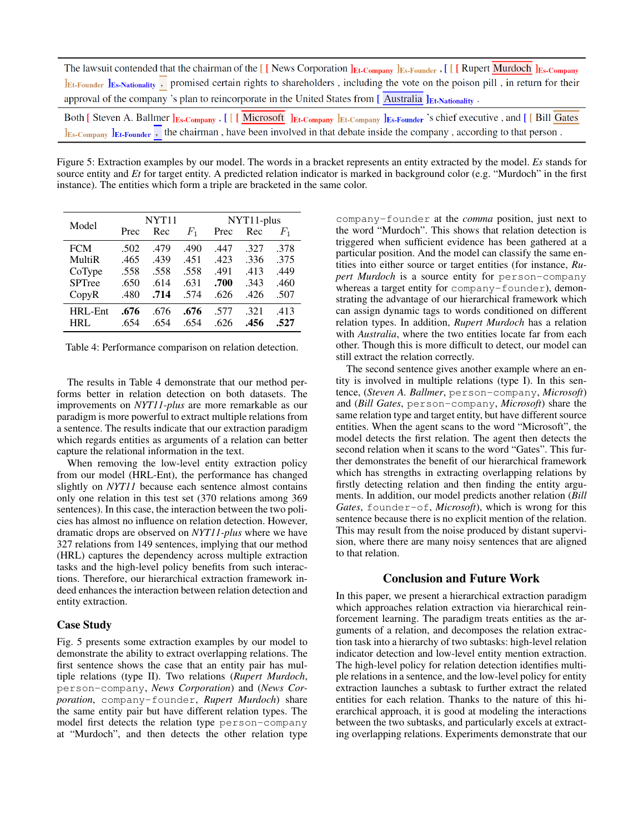| The lawsuit contended that the chairman of the $[$ [News Corporation $]$ <sub>Et-Company</sub> $]$ <sub>Es-Founder</sub> , $[$ [[Rupert Murdoch $]$ <sub>Es-Company</sub> |  |                                               |
|---------------------------------------------------------------------------------------------------------------------------------------------------------------------------|--|-----------------------------------------------|
| IEt-Founder IEs-Nationality, promised certain rights to shareholders, including the vote on the poison pill, in return for their                                          |  |                                               |
| approval of the company's plan to reincorporate in the United States from $[$ Australia $]$ <sub>Et-Nationality</sub> .                                                   |  |                                               |
| <b>P.IR.</b> IP. I. P. LEAD                                                                                                                                               |  | $\mathbf{r}$ . The first part of $\mathbf{r}$ |

Both [Steven A. Ballmer JEs-Company, [ [ [Microsoft ]Et-Company JEt-Company LEs-Founder 's chief executive, and [ [ Bill Gates  $\frac{1}{15}$ <sub>Es</sub>-Company  $\frac{1}{15}$ <sub>Et-Founder</sub>, the chairman, have been involved in that debate inside the company, according to that person.

Figure 5: Extraction examples by our model. The words in a bracket represents an entity extracted by the model. *Es* stands for source entity and *Et* for target entity. A predicted relation indicator is marked in background color (e.g. "Murdoch" in the first instance). The entities which form a triple are bracketed in the same color.

| Model         | <b>NYT11</b> |      |                | NYT <sub>1</sub> 1-plus |      |         |
|---------------|--------------|------|----------------|-------------------------|------|---------|
|               | Prec         | Rec  | $\mathit{F}_1$ | Prec                    | Rec  | $F_{1}$ |
| <b>FCM</b>    | .502         | .479 | .490           | .447                    | .327 | .378    |
| MultiR        | .465         | .439 | .451           | .423                    | .336 | .375    |
| CoType        | .558         | .558 | .558           | .491                    | .413 | .449    |
| <b>SPTree</b> | .650         | .614 | .631           | .700                    | .343 | .460    |
| CopyR         | .480         | .714 | .574           | .626                    | .426 | .507    |
| HRL-Ent       | .676         | .676 | .676           | .577                    | .321 | .413    |
| <b>HRL</b>    | .654         | .654 | .654           | .626                    | .456 | .527    |

Table 4: Performance comparison on relation detection.

The results in Table 4 demonstrate that our method performs better in relation detection on both datasets. The improvements on *NYT11-plus* are more remarkable as our paradigm is more powerful to extract multiple relations from a sentence. The results indicate that our extraction paradigm which regards entities as arguments of a relation can better capture the relational information in the text.

When removing the low-level entity extraction policy from our model (HRL-Ent), the performance has changed slightly on *NYT11* because each sentence almost contains only one relation in this test set (370 relations among 369 sentences). In this case, the interaction between the two policies has almost no influence on relation detection. However, dramatic drops are observed on *NYT11-plus* where we have 327 relations from 149 sentences, implying that our method (HRL) captures the dependency across multiple extraction tasks and the high-level policy benefits from such interactions. Therefore, our hierarchical extraction framework indeed enhances the interaction between relation detection and entity extraction.

## Case Study

Fig. 5 presents some extraction examples by our model to demonstrate the ability to extract overlapping relations. The first sentence shows the case that an entity pair has multiple relations (type II). Two relations (*Rupert Murdoch*, person-company, *News Corporation*) and (*News Corporation*, company-founder, *Rupert Murdoch*) share the same entity pair but have different relation types. The model first detects the relation type person-company at "Murdoch", and then detects the other relation type

company-founder at the *comma* position, just next to the word "Murdoch". This shows that relation detection is triggered when sufficient evidence has been gathered at a particular position. And the model can classify the same entities into either source or target entities (for instance, *Rupert Murdoch* is a source entity for person-company whereas a target entity for company-founder), demonstrating the advantage of our hierarchical framework which can assign dynamic tags to words conditioned on different relation types. In addition, *Rupert Murdoch* has a relation with *Australia*, where the two entities locate far from each other. Though this is more difficult to detect, our model can still extract the relation correctly.

The second sentence gives another example where an entity is involved in multiple relations (type I). In this sentence, (*Steven A. Ballmer*, person-company, *Microsoft*) and (*Bill Gates*, person-company, *Microsoft*) share the same relation type and target entity, but have different source entities. When the agent scans to the word "Microsoft", the model detects the first relation. The agent then detects the second relation when it scans to the word "Gates". This further demonstrates the benefit of our hierarchical framework which has strengths in extracting overlapping relations by firstly detecting relation and then finding the entity arguments. In addition, our model predicts another relation (*Bill Gates*, founder-of, *Microsoft*), which is wrong for this sentence because there is no explicit mention of the relation. This may result from the noise produced by distant supervision, where there are many noisy sentences that are aligned to that relation.

## Conclusion and Future Work

In this paper, we present a hierarchical extraction paradigm which approaches relation extraction via hierarchical reinforcement learning. The paradigm treats entities as the arguments of a relation, and decomposes the relation extraction task into a hierarchy of two subtasks: high-level relation indicator detection and low-level entity mention extraction. The high-level policy for relation detection identifies multiple relations in a sentence, and the low-level policy for entity extraction launches a subtask to further extract the related entities for each relation. Thanks to the nature of this hierarchical approach, it is good at modeling the interactions between the two subtasks, and particularly excels at extracting overlapping relations. Experiments demonstrate that our